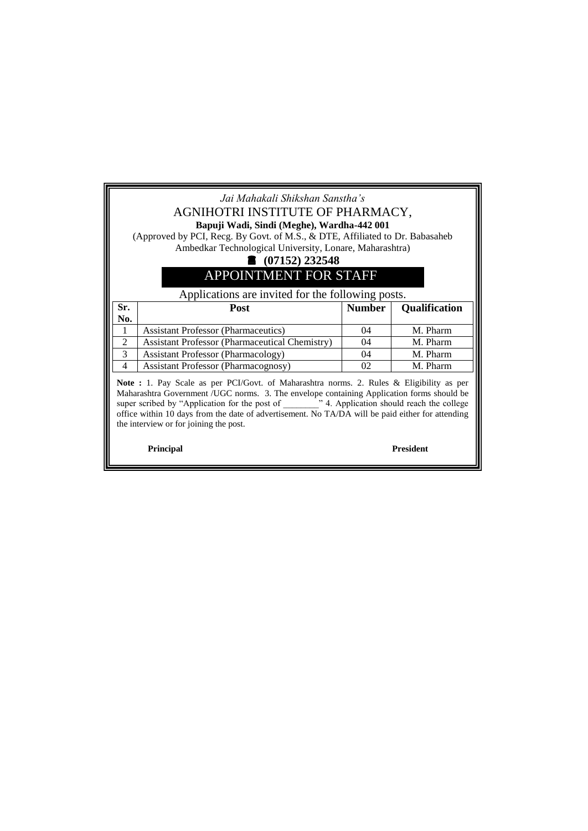## *Jai Mahakali Shikshan Sanstha's* AGNIHOTRI INSTITUTE OF PHARMACY, **Bapuji Wadi, Sindi (Meghe), Wardha-442 001**

(Approved by PCI, Recg. By Govt. of M.S., & DTE, Affiliated to Dr. Babasaheb Ambedkar Technological University, Lonare, Maharashtra)

## **(07152) 232548**

## APPOINTMENT FOR STAFF

## Applications are invited for the following posts.

| Sr. | <b>Post</b>                                           | <b>Number</b> | <b>Qualification</b> |
|-----|-------------------------------------------------------|---------------|----------------------|
| No. |                                                       |               |                      |
|     | <b>Assistant Professor (Pharmaceutics)</b>            | 04            | M. Pharm             |
|     | <b>Assistant Professor (Pharmaceutical Chemistry)</b> | 04            | M. Pharm             |
|     | <b>Assistant Professor (Pharmacology)</b>             | 04            | M. Pharm             |
|     | Assistant Professor (Pharmacognosy)                   | 02            | M. Pharm             |

**Note :** 1. Pay Scale as per PCI/Govt. of Maharashtra norms. 2. Rules & Eligibility as per Maharashtra Government /UGC norms. 3. The envelope containing Application forms should be super scribed by "Application for the post of \_\_\_\_\_\_\_\_" 4. Application should reach the college office within 10 days from the date of advertisement. No TA/DA will be paid either for attending the interview or for joining the post.

 **Principal President**